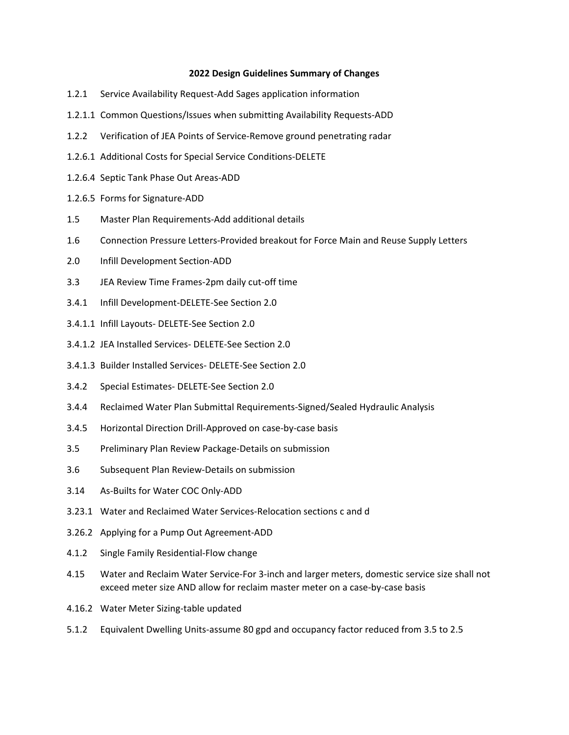## **2022 Design Guidelines Summary of Changes**

- 1.2.1 Service Availability Request-Add Sages application information
- 1.2.1.1 Common Questions/Issues when submitting Availability Requests-ADD
- 1.2.2 Verification of JEA Points of Service-Remove ground penetrating radar
- 1.2.6.1 Additional Costs for Special Service Conditions-DELETE
- 1.2.6.4 Septic Tank Phase Out Areas-ADD
- 1.2.6.5 Forms for Signature-ADD
- 1.5 Master Plan Requirements-Add additional details
- 1.6 Connection Pressure Letters-Provided breakout for Force Main and Reuse Supply Letters
- 2.0 Infill Development Section-ADD
- 3.3 JEA Review Time Frames-2pm daily cut-off time
- 3.4.1 Infill Development-DELETE-See Section 2.0
- 3.4.1.1 Infill Layouts- DELETE-See Section 2.0
- 3.4.1.2 JEA Installed Services- DELETE-See Section 2.0
- 3.4.1.3 Builder Installed Services- DELETE-See Section 2.0
- 3.4.2 Special Estimates- DELETE-See Section 2.0
- 3.4.4 Reclaimed Water Plan Submittal Requirements-Signed/Sealed Hydraulic Analysis
- 3.4.5 Horizontal Direction Drill-Approved on case-by-case basis
- 3.5 Preliminary Plan Review Package-Details on submission
- 3.6 Subsequent Plan Review-Details on submission
- 3.14 As-Builts for Water COC Only-ADD
- 3.23.1 Water and Reclaimed Water Services-Relocation sections c and d
- 3.26.2 Applying for a Pump Out Agreement-ADD
- 4.1.2 Single Family Residential-Flow change
- 4.15 Water and Reclaim Water Service-For 3-inch and larger meters, domestic service size shall not exceed meter size AND allow for reclaim master meter on a case-by-case basis
- 4.16.2 Water Meter Sizing-table updated
- 5.1.2 Equivalent Dwelling Units-assume 80 gpd and occupancy factor reduced from 3.5 to 2.5